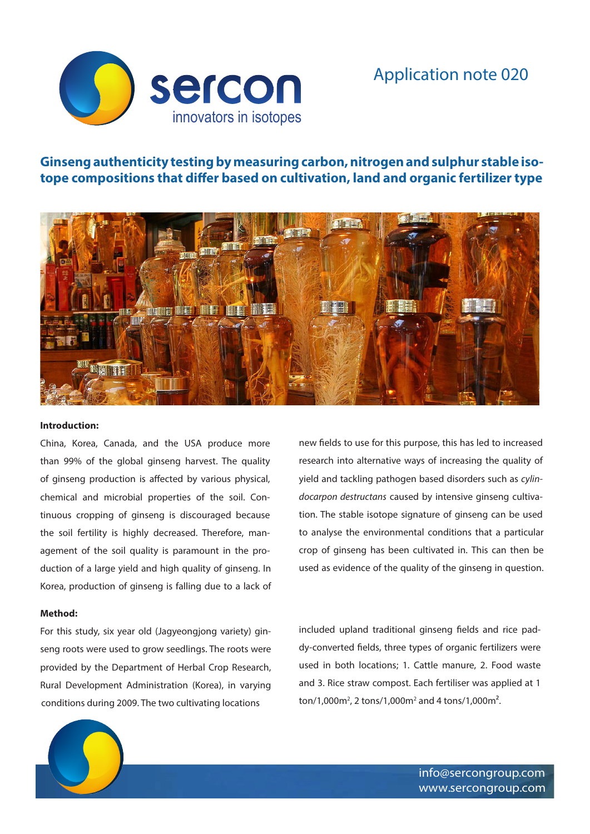Application note 020



# **Ginseng authenticity testing by measuring carbon, nitrogen and sulphur stable isotope compositions that differ based on cultivation, land and organic fertilizer type**



#### **Introduction:**

China, Korea, Canada, and the USA produce more than 99% of the global ginseng harvest. The quality of ginseng production is affected by various physical, chemical and microbial properties of the soil. Continuous cropping of ginseng is discouraged because the soil fertility is highly decreased. Therefore, management of the soil quality is paramount in the production of a large yield and high quality of ginseng. In Korea, production of ginseng is falling due to a lack of

### **Method:**

For this study, six year old (Jagyeongjong variety) ginseng roots were used to grow seedlings. The roots were provided by the Department of Herbal Crop Research, Rural Development Administration (Korea), in varying conditions during 2009. The two cultivating locations

new fields to use for this purpose, this has led to increased research into alternative ways of increasing the quality of yield and tackling pathogen based disorders such as *cylindocarpon destructans* caused by intensive ginseng cultivation. The stable isotope signature of ginseng can be used to analyse the environmental conditions that a particular crop of ginseng has been cultivated in. This can then be used as evidence of the quality of the ginseng in question.

included upland traditional ginseng fields and rice paddy-converted fields, three types of organic fertilizers were used in both locations; 1. Cattle manure, 2. Food waste and 3. Rice straw compost. Each fertiliser was applied at 1 ton/1,000m<sup>2</sup>, 2 tons/1,000m<sup>2</sup> and 4 tons/1,000m<sup>2</sup>.



info@sercongroup.com www.sercongroup.com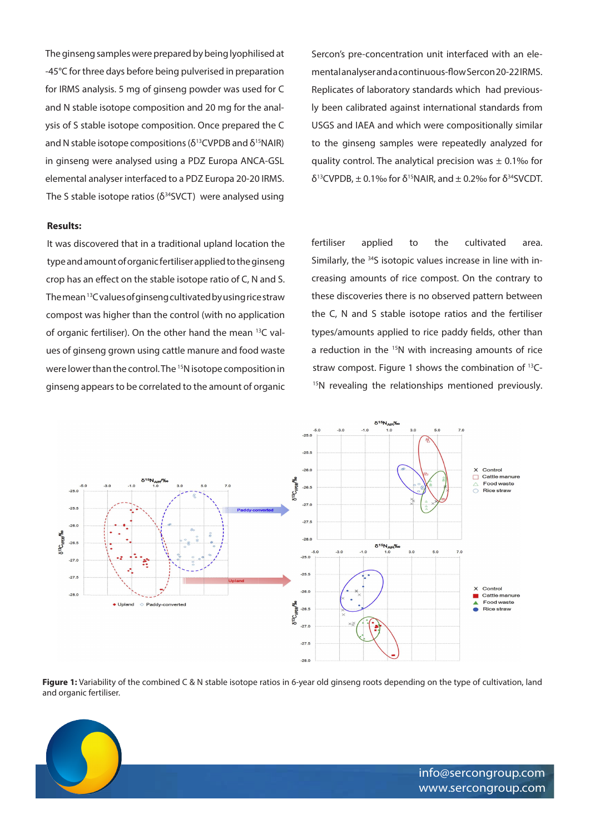The ginseng samples were prepared by being lyophilised at -45°C for three days before being pulverised in preparation for IRMS analysis. 5 mg of ginseng powder was used for C and N stable isotope composition and 20 mg for the analysis of S stable isotope composition. Once prepared the C and N stable isotope compositions ( $\delta^{13}$ CVPDB and  $\delta^{15}$ NAIR) in ginseng were analysed using a PDZ Europa ANCA-GSL elemental analyser interfaced to a PDZ Europa 20-20 IRMS. The S stable isotope ratios ( $\delta^{34}$ SVCT) were analysed using

#### **Results:**

It was discovered that in a traditional upland location the type and amount of organic fertiliser applied to the ginseng crop has an effect on the stable isotope ratio of C, N and S. The mean 13C values of ginseng cultivated by using rice straw compost was higher than the control (with no application of organic fertiliser). On the other hand the mean 13C values of ginseng grown using cattle manure and food waste were lower than the control. The 15N isotope composition in ginseng appears to be correlated to the amount of organic

Sercon's pre-concentration unit interfaced with an elemental analyser and a continuous-flow Sercon 20-22 IRMS. Replicates of laboratory standards which had previously been calibrated against international standards from USGS and IAEA and which were compositionally similar to the ginseng samples were repeatedly analyzed for quality control. The analytical precision was  $\pm$  0.1% for δ<sup>13</sup>CVPDB,  $±$  0.1‰ for δ<sup>15</sup>NAIR, and  $±$  0.2‰ for δ<sup>34</sup>SVCDT.

fertiliser applied to the cultivated area. Similarly, the 34S isotopic values increase in line with increasing amounts of rice compost. On the contrary to these discoveries there is no observed pattern between the C, N and S stable isotope ratios and the fertiliser types/amounts applied to rice paddy fields, other than a reduction in the <sup>15</sup>N with increasing amounts of rice straw compost. Figure 1 shows the combination of  $^{13}C$ -<sup>15</sup>N revealing the relationships mentioned previously.



**Figure 1:** Variability of the combined C & N stable isotope ratios in 6-year old ginseng roots depending on the type of cultivation, land and organic fertiliser.